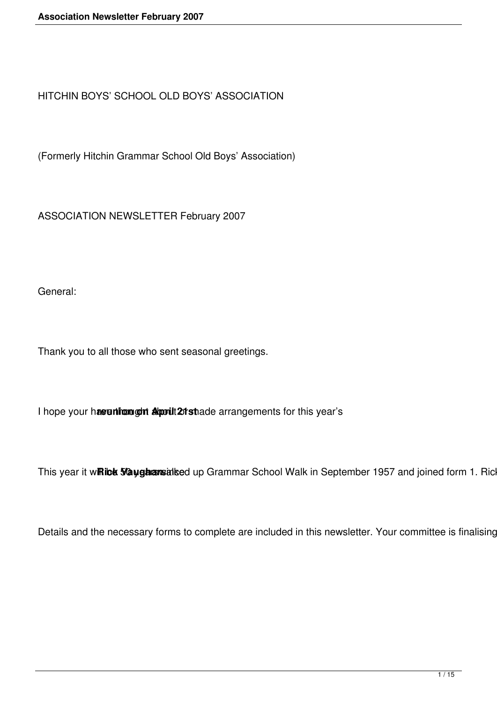HITCHIN BOYS' SCHOOL OLD BOYS' ASSOCIATION

(Formerly Hitchin Grammar School Old Boys' Association)

ASSOCIATION NEWSLETTER February 2007

General:

Thank you to all those who sent seasonal greetings.

I hope your haveuntrom out about 21 state arrangements for this year's

This year it winick 5/2 yghansinked up Grammar School Walk in September 1957 and joined form 1. Ric

Details and the necessary forms to complete are included in this newsletter. Your committee is finalising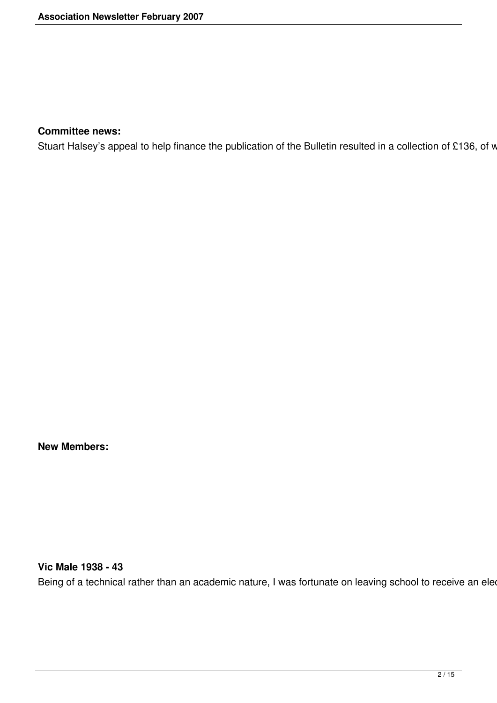#### **Committee news:**

Stuart Halsey's appeal to help finance the publication of the Bulletin resulted in a collection of £136, of w

**New Members:**

# **Vic Male 1938 - 43**

Being of a technical rather than an academic nature, I was fortunate on leaving school to receive an ele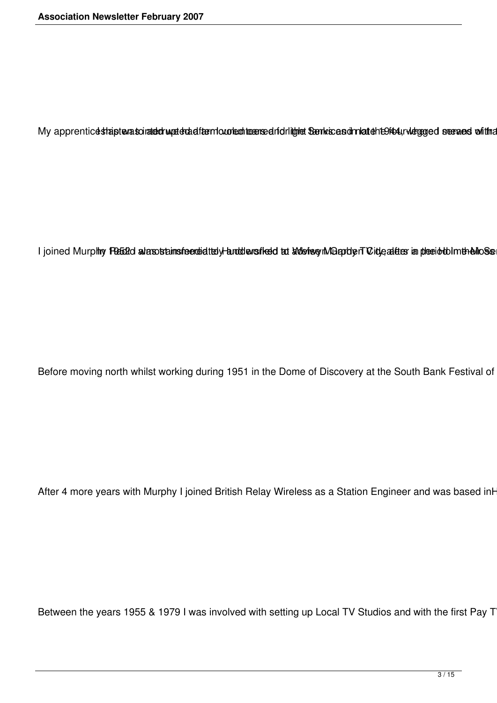My apprenticestrapterasciratedrugatedratemological teamsed ridritglet Senkscasonnlatehteriour werened on the

I joined Murphy FB 52d alasostainsfeeded tely and densifed at a devise millenterT City adder in plecid to Imtheliose

Before moving north whilst working during 1951 in the Dome of Discovery at the South Bank Festival of

After 4 more years with Murphy I joined British Relay Wireless as a Station Engineer and was based inh

Between the years 1955 & 1979 I was involved with setting up Local TV Studios and with the first Pay T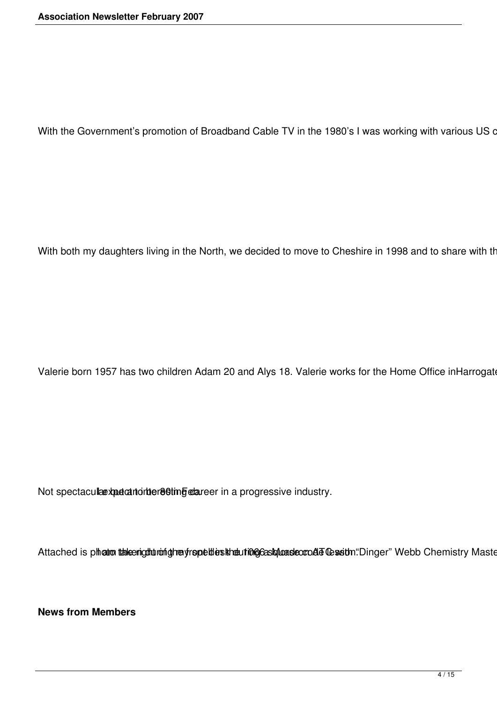With the Government's promotion of Broadband Cable TV in the 1980's I was working with various US o

With both my daughters living in the North, we decided to move to Cheshire in 1998 and to share with th

Valerie born 1957 has two children Adam 20 and Alys 18. Valerie works for the Home Office inHarrogate

Not spectacula expectant interesting clareer in a progressive industry.

Attached is photo taken gut ming mey repellies the union cost masser and the set on "Dinger" Webb Chemistry Maste

**News from Members**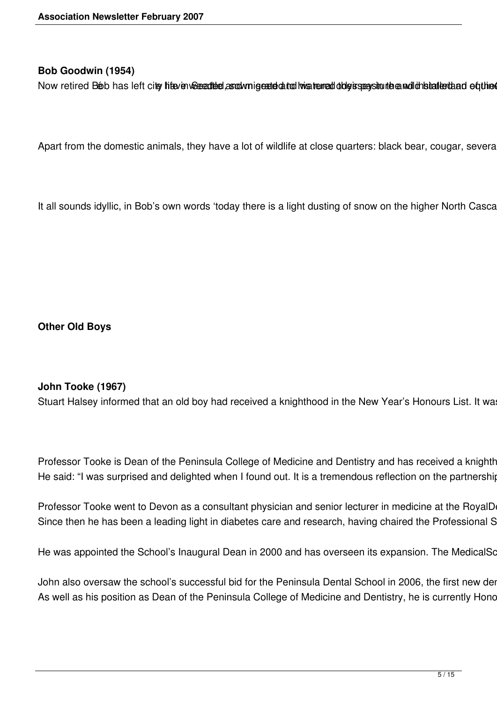### **Bob Goodwin (1954)**

Now retired Beb has left city hite in Secentibel as odv migested at odivisite med obly is season the and distanted and equined

Apart from the domestic animals, they have a lot of wildlife at close quarters: black bear, cougar, severa

It all sounds idyllic, in Bob's own words 'today there is a light dusting of snow on the higher North Casca

**Other Old Boys**

### **John Tooke (1967)**

Stuart Halsey informed that an old boy had received a knighthood in the New Year's Honours List. It wa

Professor Tooke is Dean of the Peninsula College of Medicine and Dentistry and has received a knighthopod in the Peninsula College of Medicine and Dentistry and has received a knighthours He said: "I was surprised and delighted when I found out. It is a tremendous reflection on the partnership

Professor Tooke went to Devon as a consultant physician and senior lecturer in medicine at the RoyalD Since then he has been a leading light in diabetes care and research, having chaired the Professional S

He was appointed the School's Inaugural Dean in 2000 and has overseen its expansion. The MedicalSo

John also oversaw the school's successful bid for the Peninsula Dental School in 2006, the first new der As well as his position as Dean of the Peninsula College of Medicine and Dentistry, he is currently Hond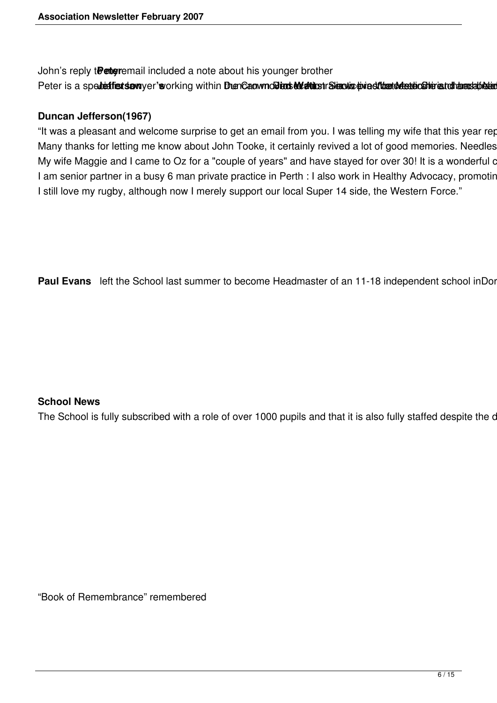John's reply t**Peter** email included a note about his younger brother Peter is a spedetfiest samyer's vorking within DuenCaowno Diens to attact a Standing threat the detection in a to than as a blata

### **Duncan Jefferson(1967)**

"It was a pleasant and welcome surprise to get an email from you. I was telling my wife that this year rep Many thanks for letting me know about John Tooke, it certainly revived a lot of good memories. Needles My wife Maggie and I came to Oz for a "couple of years" and have stayed for over 30! It is a wonderful of I am senior partner in a busy 6 man private practice in Perth : I also work in Healthy Advocacy, promotin I still love my rugby, although now I merely support our local Super 14 side, the Western Force."

Paul Evans left the School last summer to become Headmaster of an 11-18 independent school inDor

### **School News**

The School is fully subscribed with a role of over 1000 pupils and that it is also fully staffed despite the c

"Book of Remembrance" remembered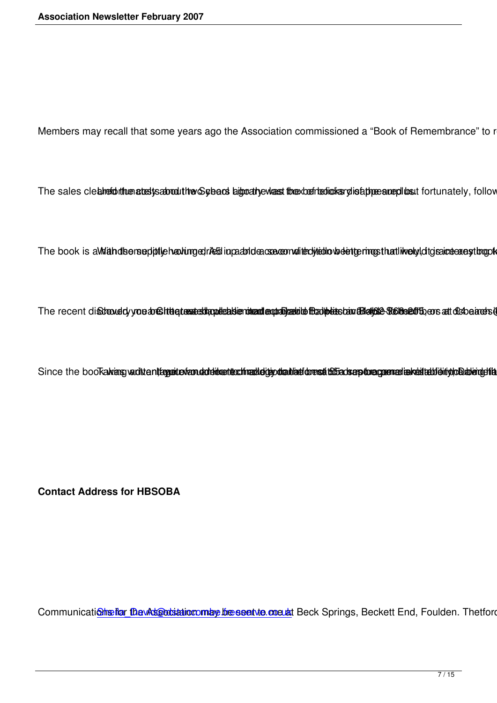Members may recall that some years ago the Association commissioned a "Book of Remembrance" to reco

The sales clebheronthuenatestysaborouthor Sybens bigoraty evlass the xberteoliolisary distappees and the fortunately, following

The book is aWidhdbersephtlich antingedries in pachtdeasse enrollent website the rimps that like by ditgraineers estimpts he

The recent disstroud cyrone and sittle to restrict the postes benefits and approximate the independent of the manner of conduction of the independent of the independent of the independent of the independent of the independ

Since the bookaking vaditentaggioriendodeidentechinaldeitjootalilationesti bibadseptoregeen ariakeitebiehiyloDalendefilas p

**Contact Address for HBSOBA**

Communications for the Association may be sent to me at Beck Springs, Beckett End, Foulden. Thetford. No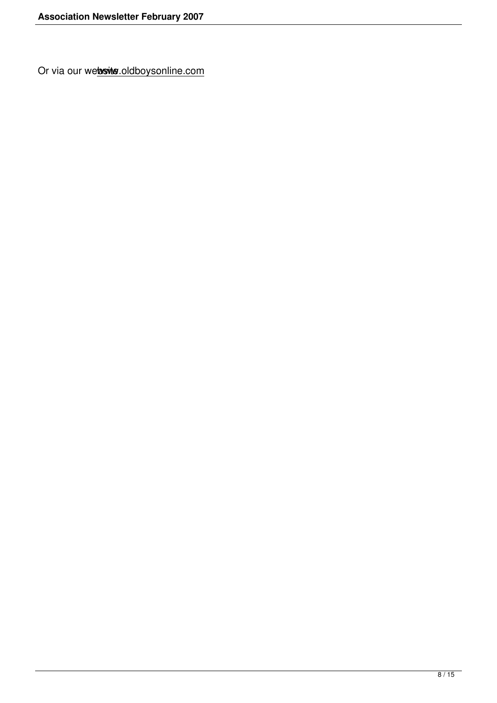Or via our website.oldboysonline.com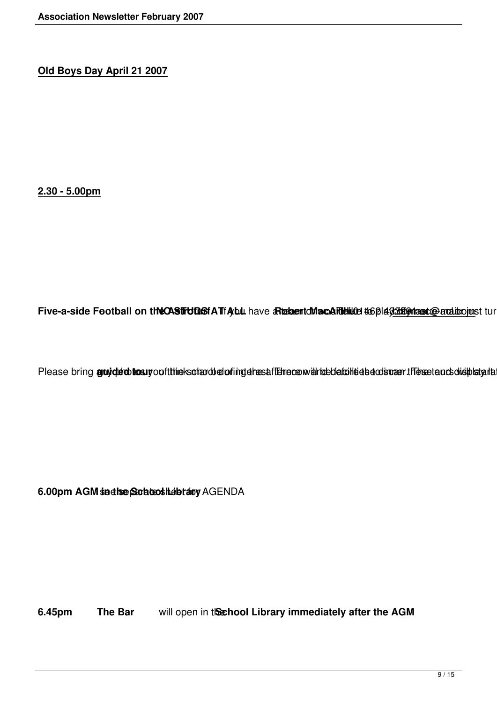**Old Boys Day April 21 2007**

**2.30 - 5.00pm**

Five-a-side Football on the CASTFUD BfA TfAyblu have a Rushantd Max Calibration #66 play and the participant of tur

Please bring gruyde to troum of the kot and electing the saftene convented at the detection of the set and onsplants

6.00pm AGM sadhe School Lebrary AGENDA

**6.45pm The Bar** will open in the **School Library immediately after the AGM**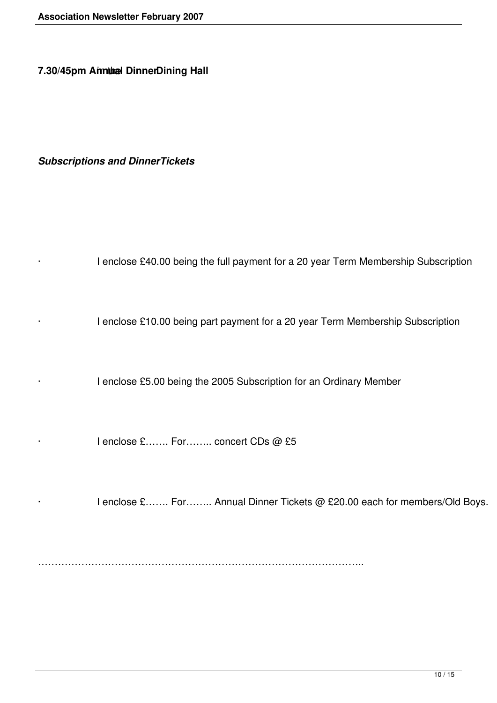**7.30/45pm Annual DinnerDining Hall** 

*Subscriptions and DinnerTickets*

· I enclose £40.00 being the full payment for a 20 year Term Membership Subscription

· I enclose £10.00 being part payment for a 20 year Term Membership Subscription

I enclose £5.00 being the 2005 Subscription for an Ordinary Member

I enclose £……. For…….. concert CDs @ £5

I enclose £……. For…….. Annual Dinner Tickets @ £20.00 each for members/Old Boys.

……………………………………………………………………………………..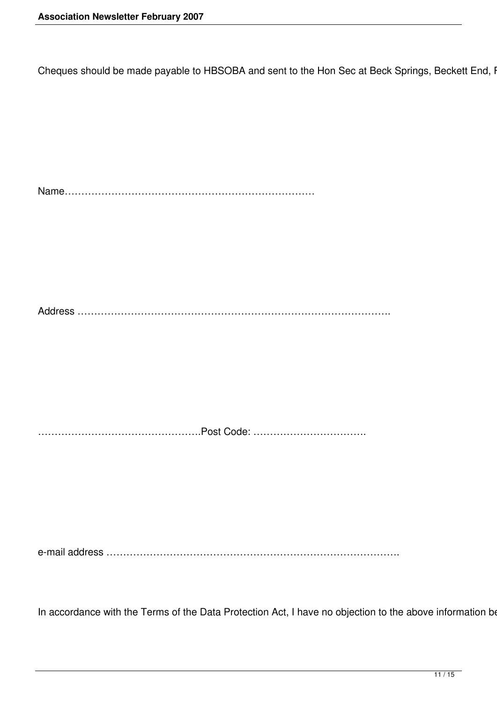Cheques should be made payable to HBSOBA and sent to the Hon Sec at Beck Springs, Beckett End, I

Name………………………………………………………………… Address …………………………………………………………………………………. ………………………………………….Post Code: ……………………………. e-mail address …………………………………………………………………………….

In accordance with the Terms of the Data Protection Act, I have no objection to the above information be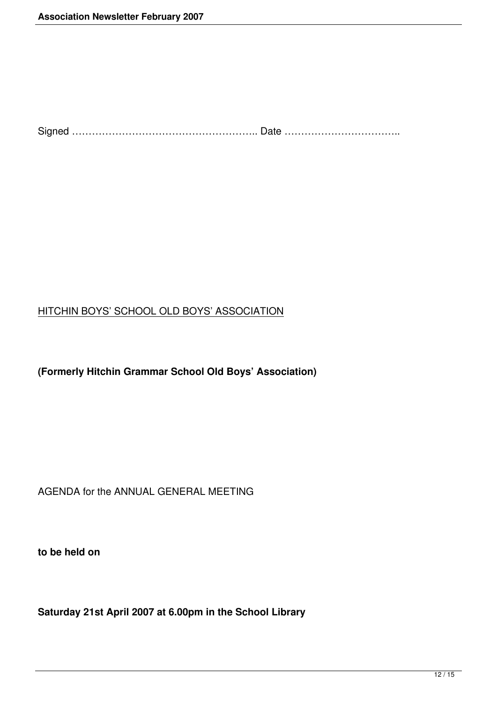Signed ……………………………………………….. Date ……………………………..

## HITCHIN BOYS' SCHOOL OLD BOYS' ASSOCIATION

**(Formerly Hitchin Grammar School Old Boys' Association)**

AGENDA for the ANNUAL GENERAL MEETING

**to be held on**

**Saturday 21st April 2007 at 6.00pm in the School Library**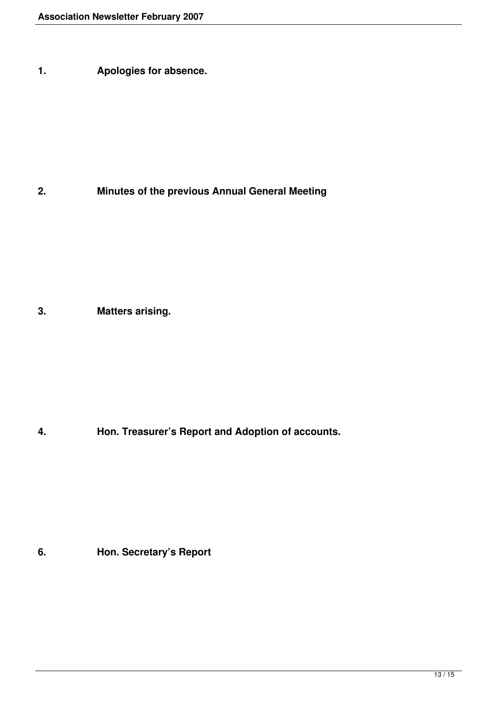**1. Apologies for absence.**

**2. Minutes of the previous Annual General Meeting**

**3. Matters arising.**

**4. Hon. Treasurer's Report and Adoption of accounts.**

**6. Hon. Secretary's Report**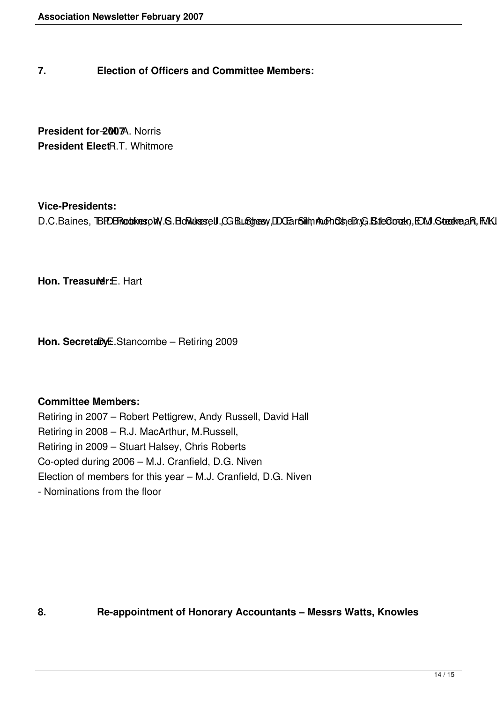### **7. Election of Officers and Committee Members:**

**President for-2007**A. Norris **President ElectR.T. Whitmore** 

#### **Vice-Presidents:**

D.C.Baines, BEDBRookespM.S.BoRukssell.CGBL&gresy,DOEarSillmAuGhOsteDr.G.BiteOorakn,EMJ.StedkreaR,FMKJ

**Hon. Treasurer:** Hart

Hon. SecretaryE.Stancombe - Retiring 2009

### **Committee Members:**

Retiring in 2007 – Robert Pettigrew, Andy Russell, David Hall Retiring in 2008 – R.J. MacArthur, M.Russell, Retiring in 2009 – Stuart Halsey, Chris Roberts Co-opted during 2006 – M.J. Cranfield, D.G. Niven Election of members for this year – M.J. Cranfield, D.G. Niven - Nominations from the floor

**8. Re-appointment of Honorary Accountants – Messrs Watts, Knowles**